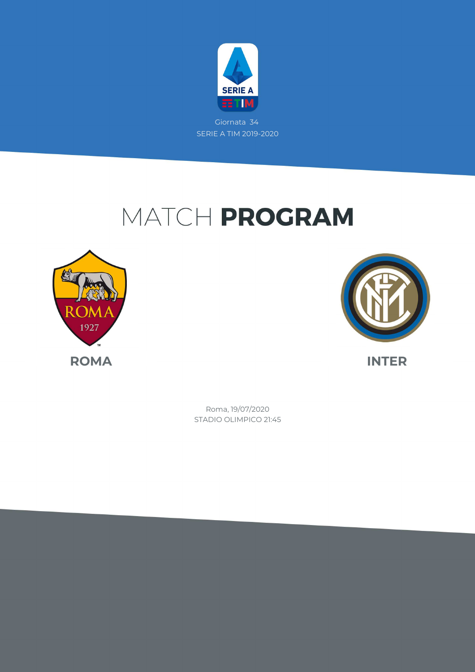

Giornata 34 SERIE A TIM 2019-2020

# MATCH PROGRAM





STADIO OLIMPICO 21:45 Roma, 19/07/2020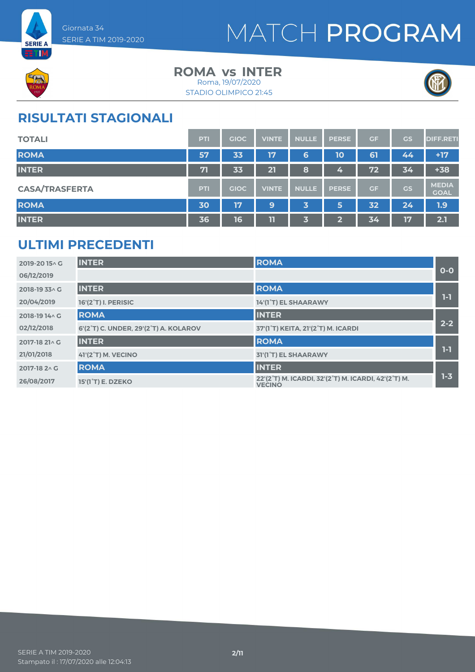



#### **ROMA INTER vs** Roma, 19/07/2020

STADIO OLIMPICO 21:45



### **RISULTATI STAGIONALI**

| <b>TOTALI</b>         | <b>PTI</b> | <b>GIOC</b> | <b>VINTE</b> | <b>NULLE</b> | <b>PERSE</b> | GF | <b>GS</b> | <b>DIFF.RETI</b>            |
|-----------------------|------------|-------------|--------------|--------------|--------------|----|-----------|-----------------------------|
| <b>ROMA</b>           | 57         | 33          | 17           | 6            | 10           | 61 | 44        | $+17$                       |
| <b>INTER</b>          | 71         | 33          | 21           | 8            | 4            | 72 | 34        | $+38$                       |
| <b>CASA/TRASFERTA</b> | <b>PTI</b> | <b>GIOC</b> | <b>VINTE</b> | <b>NULLE</b> | <b>PERSE</b> | GF | <b>GS</b> | <b>MEDIA</b><br><b>GOAL</b> |
| <b>ROMA</b>           | 30         | 17          | 9            | 3            | 5            | 32 | 24        | 1.9                         |
| <b>INTER</b>          | 36         | 16          | 11           | 3            | ∍            | 34 | 17        | 2.1                         |

### **ULTIMI PRECEDENTI**

| 2019-2015^G    | <b>INTER</b>                          | <b>ROMA</b>                                                          |         |
|----------------|---------------------------------------|----------------------------------------------------------------------|---------|
| 06/12/2019     |                                       |                                                                      | $O-O$   |
| 2018-19 33 A G | <b>INTER</b>                          | <b>ROMA</b>                                                          |         |
| 20/04/2019     | <b>16'(2°T) I. PERISIC</b>            | 14'(1°T) EL SHAARAWY                                                 | 1-1     |
| 2018-19 14 \ G | <b>ROMA</b>                           | <b>INTER</b>                                                         |         |
| 02/12/2018     | 6'(2°T) C. UNDER, 29'(2°T) A. KOLAROV | 37'(1°T) KEITA, 21'(2°T) M. ICARDI                                   | $2 - 2$ |
| 2017-18 21 \ G | <b>INTER</b>                          | <b>ROMA</b>                                                          |         |
| 21/01/2018     | <b>41'(2°T) M. VECINO</b>             | 31'(1°T) EL SHAARAWY                                                 | $1-1$   |
| 2017-18 2 \ G  | <b>ROMA</b>                           | <b>INTER</b>                                                         |         |
| 26/08/2017     | 15'(1 <sup>°</sup> T) E. DZEKO        | 22'(2°T) M. ICARDI, 32'(2°T) M. ICARDI, 42'(2°T) M.<br><b>VECINO</b> | $1 - 3$ |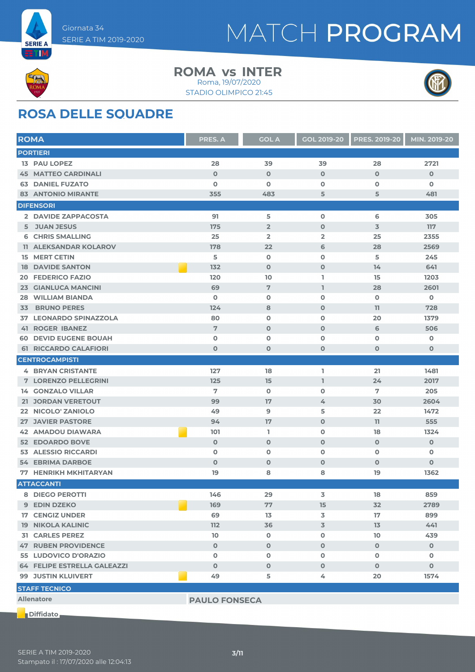



#### **ROMA INTER vs** Roma, 19/07/2020

STADIO OLIMPICO 21:45



### **ROSA DELLE SQUADRE**

| <b>ROMA</b>                   | <b>PRES. A</b>       | <b>GOL A</b>   | <b>GOL 2019-20</b> | <b>PRES. 2019-20</b> | MIN. 2019-20 |
|-------------------------------|----------------------|----------------|--------------------|----------------------|--------------|
| <b>PORTIERI</b>               |                      |                |                    |                      |              |
| <b>13 PAU LOPEZ</b>           | 28                   | 39             | 39                 | 28                   | 2721         |
| <b>45 MATTEO CARDINALI</b>    | $\mathbf{O}$         | $\mathbf 0$    | $\mathbf 0$        | $\mathbf 0$          | $\mathbf 0$  |
| <b>63 DANIEL FUZATO</b>       | $\mathbf 0$          | $\mathbf 0$    | $\mathbf{o}$       | $\mathbf 0$          | $\mathbf 0$  |
| <b>83 ANTONIO MIRANTE</b>     | 355                  | 483            | 5                  | 5                    | 481          |
| <b>DIFENSORI</b>              |                      |                |                    |                      |              |
| 2 DAVIDE ZAPPACOSTA           | 91                   | 5              | $\mathbf 0$        | 6                    | 305          |
| 5 JUAN JESUS                  | 175                  | $\overline{2}$ | $\mathbf 0$        | $\overline{3}$       | 117          |
| <b>6 CHRIS SMALLING</b>       | 25                   | $\overline{2}$ | $\overline{2}$     | 25                   | 2355         |
| <b>11 ALEKSANDAR KOLAROV</b>  | 178                  | 22             | 6                  | 28                   | 2569         |
| <b>15 MERT CETIN</b>          | 5                    | $\mathbf 0$    | $\mathbf 0$        | 5                    | 245          |
| <b>DAVIDE SANTON</b><br>18    | 132                  | $\mathbf 0$    | $\mathbf 0$        | 14                   | 641          |
| <b>FEDERICO FAZIO</b><br>20   | 120                  | 10             | I.                 | 15                   | 1203         |
| <b>GIANLUCA MANCINI</b><br>23 | 69                   | $\overline{7}$ | $\mathbf{1}$       | 28                   | 2601         |
| <b>WILLIAM BIANDA</b><br>28   | 0                    | $\mathbf 0$    | $\mathbf 0$        | $\mathbf 0$          | O            |
| <b>BRUNO PERES</b><br>33      | 124                  | 8              | $\mathbf 0$        | 11                   | 728          |
| <b>37 LEONARDO SPINAZZOLA</b> | 80                   | $\mathbf 0$    | $\mathbf{o}$       | 20                   | 1379         |
| <b>41 ROGER IBANEZ</b>        | 7                    | $\mathbf 0$    | $\mathbf 0$        | 6                    | 506          |
| <b>60 DEVID EUGENE BOUAH</b>  | 0                    | $\mathbf 0$    | $\mathbf 0$        | $\mathbf 0$          | 0            |
| <b>61 RICCARDO CALAFIORI</b>  | $\mathbf 0$          | $\mathbf 0$    | $\mathbf 0$        | $\mathbf 0$          | 0            |
| <b>CENTROCAMPISTI</b>         |                      |                |                    |                      |              |
| <b>4 BRYAN CRISTANTE</b>      | 127                  | 18             | L.                 | 21                   | 1481         |
| <b>7 LORENZO PELLEGRINI</b>   | 125                  | 15             | $\mathbb{I}$       | 24                   | 2017         |
| <b>14 GONZALO VILLAR</b>      | 7                    | $\mathbf 0$    | $\mathbf 0$        | 7                    | 205          |
| 21 JORDAN VERETOUT            | 99                   | 17             | 4                  | 30                   | 2604         |
| 22 NICOLO' ZANIOLO            | 49                   | 9              | 5                  | 22                   | 1472         |
| <b>27 JAVIER PASTORE</b>      | 94                   | 17             | $\mathbf 0$        | 11                   | 555          |
| <b>AMADOU DIAWARA</b><br>42   | 101                  | L.             | $\mathbf 0$        | 18                   | 1324         |
| <b>52 EDOARDO BOVE</b>        | $\mathbf 0$          | $\mathbf 0$    | $\mathbf 0$        | $\mathbf 0$          | $\mathbf 0$  |
| <b>53 ALESSIO RICCARDI</b>    | $\mathbf 0$          | $\mathbf 0$    | $\mathbf 0$        | O                    | O            |
| <b>54 EBRIMA DARBOE</b>       | $\mathbf 0$          | $\mathbf 0$    | $\mathbf 0$        | $\mathbf 0$          | $\mathbf 0$  |
| <b>77 HENRIKH MKHITARYAN</b>  | 19                   | 8              | 8                  | 19                   | 1362         |
| <b>ATTACCANTI</b>             |                      |                |                    |                      |              |
| 8 DIEGO PEROTTI               | 146                  | 29             | 3                  | 18                   | 859          |
| 9 EDIN DZEKO                  | 169                  | 77             | 15                 | 32                   | 2789         |
| <b>17 CENGIZ UNDER</b>        | 69                   | 13             | 3                  | 17                   | 899          |
| <b>19 NIKOLA KALINIC</b>      | 112                  | 36             | 3                  | 13                   | 441          |
| <b>31 CARLES PEREZ</b>        | 10                   | $\mathbf 0$    | $\mathbf 0$        | 10                   | 439          |
| <b>47 RUBEN PROVIDENCE</b>    | $\mathbf{O}$         | $\mathbf 0$    | $\mathbf{O}$       | $\mathbf 0$          | $\mathbf 0$  |
| 55 LUDOVICO D'ORAZIO          | 0                    | $\mathbf 0$    | $\mathbf 0$        | $\mathbf 0$          | 0            |
| 64 FELIPE ESTRELLA GALEAZZI   | $\mathbf{O}$         | $\mathbf 0$    | $\mathbf{O}$       | $\mathbf 0$          | $\mathbf 0$  |
| <b>99 JUSTIN KLUIVERT</b>     | 49                   | 5              | 4                  | 20                   | 1574         |
| <b>STAFF TECNICO</b>          |                      |                |                    |                      |              |
| <b>Allenatore</b>             | <b>PAULO FONSECA</b> |                |                    |                      |              |
|                               |                      |                |                    |                      |              |

**Diffidato**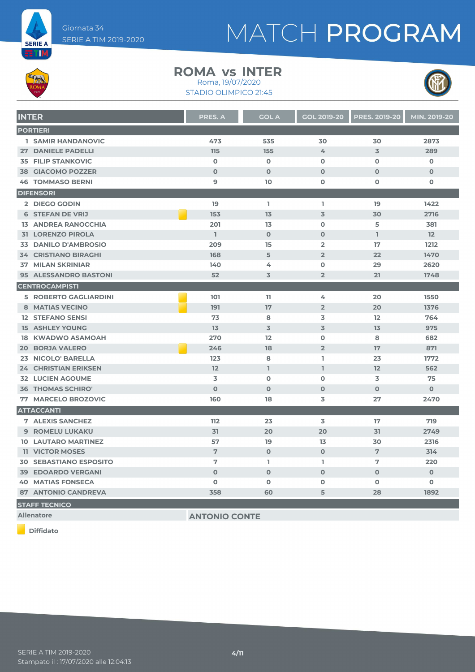



#### **ROMA INTER vs**

STADIO OLIMPICO 21:45 Roma, 19/07/2020



| <b>INTER</b>                  | <b>PRES. A</b> | <b>GOL A</b>   | <b>GOL 2019-20</b> | <b>PRES. 2019-20</b> | MIN. 2019-20 |
|-------------------------------|----------------|----------------|--------------------|----------------------|--------------|
| <b>PORTIERI</b>               |                |                |                    |                      |              |
| <b>1 SAMIR HANDANOVIC</b>     | 473            | 535            | 30                 | 30                   | 2873         |
| 27 DANIELE PADELLI            | 115            | 155            | 4                  | $\overline{3}$       | 289          |
| <b>35 FILIP STANKOVIC</b>     | $\mathbf 0$    | $\mathbf 0$    | $\mathbf 0$        | $\Omega$             | $\mathbf 0$  |
| <b>38 GIACOMO POZZER</b>      | $\Omega$       | $\Omega$       | $\Omega$           | $\Omega$             | $\Omega$     |
| <b>46 TOMMASO BERNI</b>       | $\overline{9}$ | 10             | $\mathbf 0$        | $\mathbf 0$          | 0            |
| <b>DIFENSORI</b>              |                |                |                    |                      |              |
| 2 DIEGO GODIN                 | 19             | L.             | L                  | 19                   | 1422         |
| <b>6 STEFAN DE VRIJ</b>       | 153            | 13             | $\overline{3}$     | 30                   | 2716         |
| <b>13 ANDREA RANOCCHIA</b>    | 201            | 13             | $\mathbf 0$        | 5                    | 381          |
| <b>31 LORENZO PIROLA</b>      | $\mathbb{I}$   | $\mathbf 0$    | $\mathbf 0$        | I.                   | 12           |
| 33 DANILO D'AMBROSIO          | 209            | 15             | $\overline{2}$     | 17                   | 1212         |
| <b>34 CRISTIANO BIRAGHI</b>   | 168            | 5              | $\overline{2}$     | 22                   | 1470         |
| <b>37 MILAN SKRINIAR</b>      | 140            | 4              | $\mathbf 0$        | 29                   | 2620         |
| 95 ALESSANDRO BASTONI         | 52             | $\overline{3}$ | $\overline{2}$     | 21                   | 1748         |
| <b>CENTROCAMPISTI</b>         |                |                |                    |                      |              |
| <b>5 ROBERTO GAGLIARDINI</b>  | 101            | 11             | 4                  | 20                   | 1550         |
| <b>8 MATIAS VECINO</b>        | 191            | 17             | $\overline{2}$     | 20                   | 1376         |
| <b>12 STEFANO SENSI</b>       | 73             | 8              | 3                  | 12                   | 764          |
| <b>15 ASHLEY YOUNG</b>        | 13             | $\overline{3}$ | 3                  | 13                   | 975          |
| <b>18 KWADWO ASAMOAH</b>      | 270            | 12             | $\mathbf 0$        | 8                    | 682          |
| <b>20 BORJA VALERO</b>        | 246            | 18             | $\overline{2}$     | 17                   | 871          |
| 23 NICOLO' BARELLA            | 123            | 8              | L                  | 23                   | 1772         |
| <b>24 CHRISTIAN ERIKSEN</b>   | 12             | $\mathbb{I}$   | $\mathbb{I}$       | 12                   | 562          |
| <b>32 LUCIEN AGOUME</b>       | 3              | $\mathbf 0$    | $\mathbf 0$        | 3                    | 75           |
| <b>36 THOMAS SCHIRO'</b>      | $\Omega$       | $\mathbf 0$    | $\mathbf{O}$       | $\mathbf 0$          | $\mathbf{O}$ |
| <b>77 MARCELO BROZOVIC</b>    | 160            | 18             | 3                  | 27                   | 2470         |
| <b>ATTACCANTI</b>             |                |                |                    |                      |              |
| <b>7 ALEXIS SANCHEZ</b>       | 112            | 23             | 3                  | 17                   | 719          |
| <b>9 ROMELU LUKAKU</b>        | 31             | 20             | 20                 | 31                   | 2749         |
| <b>10 LAUTARO MARTINEZ</b>    | 57             | 19             | 13                 | 30                   | 2316         |
| <b>11 VICTOR MOSES</b>        | $\overline{7}$ | $\mathbf 0$    | $\mathbf{O}$       | 7                    | 314          |
| <b>30 SEBASTIANO ESPOSITO</b> | 7              | L              | L                  | 7                    | 220          |
| <b>39 EDOARDO VERGANI</b>     | $\mathbf 0$    | $\mathbf 0$    | $\mathbf 0$        | $\mathbf 0$          | $\mathbf{O}$ |
| <b>40 MATIAS FONSECA</b>      | $\mathbf{O}$   | O              | 0                  | 0                    | 0            |
| <b>87 ANTONIO CANDREVA</b>    | 358            | 60             | 5                  | 28                   | 1892         |
| <b>STAFF TECNICO</b>          |                |                |                    |                      |              |

**Allenatore ANTONIO CONTE**

**Diffidato**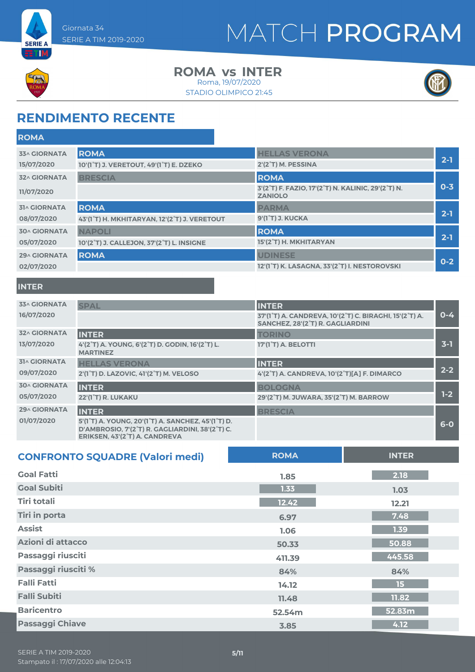



**ETIM** 

#### **ROMA INTER vs** Roma, 19/07/2020

STADIO OLIMPICO 21:45



### **RENDIMENTO RECENTE**

| <b>ROMA</b>         |                                              |                                                                      |         |
|---------------------|----------------------------------------------|----------------------------------------------------------------------|---------|
| <b>33^ GIORNATA</b> | <b>ROMA</b>                                  | <b>HELLAS VERONA</b>                                                 |         |
| 15/07/2020          | 10'(1°T) J. VERETOUT, 49'(1°T) E. DZEKO      | 2'(2°T) M. PESSINA                                                   | $2 - 1$ |
| <b>32^ GIORNATA</b> | <b>BRESCIA</b>                               | <b>ROMA</b>                                                          |         |
| 11/07/2020          |                                              | 3'(2°T) F. FAZIO, 17'(2°T) N. KALINIC, 29'(2°T) N.<br><b>ZANIOLO</b> | $0 - 3$ |
| <b>31^ GIORNATA</b> | <b>ROMA</b>                                  | <b>PARMA</b>                                                         |         |
| 08/07/2020          | 43'(1°T) H. MKHITARYAN, 12'(2°T) J. VERETOUT | 9'(1°T) J. KUCKA                                                     | $2 - 1$ |
| <b>30^ GIORNATA</b> | <b>NAPOLI</b>                                | <b>ROMA</b>                                                          |         |
| 05/07/2020          | 10'(2°T) J. CALLEJON, 37'(2°T) L. INSIGNE    | 15'(2°T) H. MKHITARYAN                                               | $2 - 1$ |
| <b>29^ GIORNATA</b> | <b>ROMA</b>                                  | <b>UDINESE</b>                                                       |         |
| 02/07/2020          |                                              | 12'(1°T) K. LASAGNA, 33'(2°T) I. NESTOROVSKI                         | $0 - 2$ |

#### **INTER**

| <b>33^ GIORNATA</b> | <b>SPAL</b>                                                                                                                            | <b>INTER</b>                                                                               |         |
|---------------------|----------------------------------------------------------------------------------------------------------------------------------------|--------------------------------------------------------------------------------------------|---------|
| 16/07/2020          |                                                                                                                                        | 37'(1°T) A. CANDREVA, 10'(2°T) C. BIRAGHI, 15'(2°T) A.<br>SANCHEZ, 28'(2°T) R. GAGLIARDINI | $0 - 4$ |
| <b>32^ GIORNATA</b> | <b>INTER</b>                                                                                                                           | <b>TORINO</b>                                                                              |         |
| 13/07/2020          | 4'(2°T) A. YOUNG, 6'(2°T) D. GODIN, 16'(2°T) L.<br><b>MARTINEZ</b>                                                                     | 17'(1 <sup>°</sup> T) A. BELOTTI                                                           | $3-1$   |
| <b>31^ GIORNATA</b> | <b>HELLAS VERONA</b>                                                                                                                   | <b>INTER</b>                                                                               |         |
| 09/07/2020          | 2'(1 <sup>°</sup> T) D. LAZOVIC, 41'(2 <sup>°</sup> T) M. VELOSO                                                                       | 4'(2°T) A. CANDREVA, 10'(2°T)[A] F. DIMARCO                                                | $2 - 2$ |
| <b>30^ GIORNATA</b> | <b>INTER</b>                                                                                                                           | <b>BOLOGNA</b>                                                                             |         |
| 05/07/2020          | <b>22'(1°T) R. LUKAKU</b>                                                                                                              | 29'(2°T) M. JUWARA, 35'(2°T) M. BARROW                                                     | $1-2$   |
| 29^ GIORNATA        | <b>INTER</b>                                                                                                                           | <b>BRESCIA</b>                                                                             |         |
| 01/07/2020          | 5'(1°T) A. YOUNG, 20'(1°T) A. SANCHEZ, 45'(1°T) D.<br>D'AMBROSIO, 7'(2°T) R. GAGLIARDINI, 38'(2°T) C.<br>ERIKSEN, 43'(2°T) A. CANDREVA |                                                                                            | $6-0$   |

| <b>CONFRONTO SQUADRE (Valori medi)</b> | <b>ROMA</b> | <b>INTER</b>     |
|----------------------------------------|-------------|------------------|
| <b>Goal Fatti</b>                      | 1.85        | 2.18             |
| <b>Goal Subiti</b>                     | 1.33        | 1.03             |
| <b>Tiri totali</b>                     | 12.42       | 12.21            |
| <b>Tiri in porta</b>                   | 6.97        | 7.48             |
| <b>Assist</b>                          | 1.06        | 1.39             |
| Azioni di attacco                      | 50.33       | 50.88            |
| Passaggi riusciti                      | 411.39      | 445.58           |
| Passaggi riusciti %                    | 84%         | 84%              |
| <b>Falli Fatti</b>                     | 14.12       | 15 <sub>15</sub> |
| <b>Falli Subiti</b>                    | 11.48       | 11.82            |
| <b>Baricentro</b>                      | 52.54m      | 52.83m           |
| <b>Passaggi Chiave</b>                 | 3.85        | 4.12             |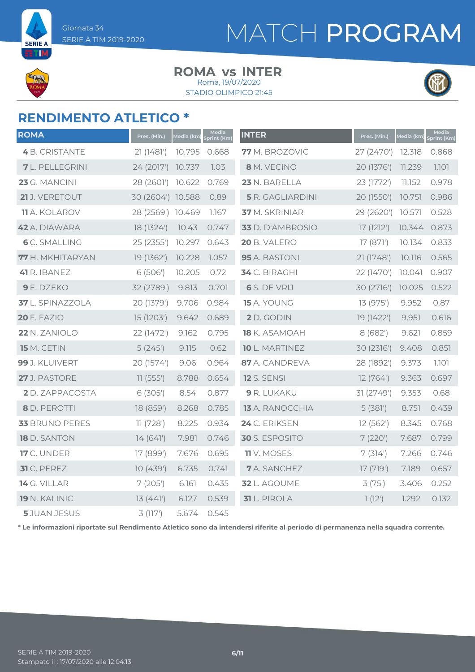**SERIE A** 

# MATCH PROGRAM

#### **ROMA INTER vs**

STADIO OLIMPICO 21:45 Roma, 19/07/2020



### **RENDIMENTO ATLETICO \***

| <b>ROMA</b>            | Pres. (Min.)      | Media (km) | Media<br>Sprint (Km) | <b>INTER</b>            | Pres. (Min.) | Media (km) | Media<br>Sprint (Km) |
|------------------------|-------------------|------------|----------------------|-------------------------|--------------|------------|----------------------|
| <b>4</b> B. CRISTANTE  | 21(1481)          | 10.795     | 0.668                | 77 M. BROZOVIC          | 27 (2470')   | 12.318     | 0.868                |
| <b>7</b> L. PELLEGRINI | 24 (2017')        | 10.737     | 1.03                 | 8 M. VECINO             | 20 (1376')   | 11.239     | 1.101                |
| 23 G. MANCINI          | 28 (2601')        | 10.622     | 0.769                | 23 N. BARELLA           | 23 (1772')   | 11.152     | 0.978                |
| 21 J. VERETOUT         | 30 (2604') 10.588 |            | 0.89                 | <b>5</b> R. GAGLIARDINI | 20 (1550')   | 10.751     | 0.986                |
| <b>11</b> A. KOLAROV   | 28 (2569') 10.469 |            | 1.167                | 37 M. SKRINIAR          | 29 (2620')   | 10.571     | 0.528                |
| 42 A. DIAWARA          | 18 (1324')        | 10.43      | 0.747                | 33 D. D'AMBROSIO        | 17 (1212')   | 10.344     | 0.873                |
| <b>6</b> C. SMALLING   | 25 (2355')        | 10.297     | 0.643                | 20 B. VALERO            | 17 (871')    | 10.134     | 0.833                |
| 77 H. MKHITARYAN       | 19 (1362')        | 10.228     | 1.057                | 95 A. BASTONI           | 21 (1748')   | 10.116     | 0.565                |
| 41 R. IBANEZ           | 6 (506')          | 10.205     | 0.72                 | 34 C. BIRAGHI           | 22 (1470')   | 10.041     | 0.907                |
| 9 E. DZEKO             | 32 (2789')        | 9.813      | 0.701                | 6 S. DE VRIJ            | 30 (2716')   | 10.025     | 0.522                |
| 37 L. SPINAZZOLA       | 20 (1379')        | 9.706      | 0.984                | 15 A. YOUNG             | 13 (975')    | 9.952      | 0.87                 |
| <b>20 F. FAZIO</b>     | 15 (1203')        | 9.642      | 0.689                | 2 D. GODIN              | 19 (1422')   | 9.951      | 0.616                |
| 22 N. ZANIOLO          | 22 (1472')        | 9.162      | 0.795                | 18 K. ASAMOAH           | 8(682)       | 9.621      | 0.859                |
| 15 M. CETIN            | 5(245)            | 9.115      | 0.62                 | 10 L. MARTINEZ          | 30 (2316')   | 9.408      | 0.851                |
| 99 J. KLUIVERT         | 20 (1574')        | 9.06       | 0.964                | 87 A. CANDREVA          | 28 (1892')   | 9.373      | 1.101                |
| 27 J. PASTORE          | 11(555')          | 8.788      | 0.654                | <b>12</b> S. SENSI      | 12 (764')    | 9.363      | 0.697                |
| <b>2</b> D. ZAPPACOSTA | 6(305)            | 8.54       | 0.877                | 9 R. LUKAKU             | 31 (2749')   | 9.353      | 0.68                 |
| 8 D. PEROTTI           | 18 (859')         | 8.268      | 0.785                | 13 A. RANOCCHIA         | 5(381)       | 8.751      | 0.439                |
| 33 BRUNO PERES         | 11(728)           | 8.225      | 0.934                | 24 C. ERIKSEN           | 12(562)      | 8.345      | 0.768                |
| 18 D. SANTON           | 14(641)           | 7.981      | 0.746                | 30 S. ESPOSITO          | 7(220)       | 7.687      | 0.799                |
| <b>17</b> C. UNDER     | 17 (899')         | 7.676      | 0.695                | <b>11</b> V. MOSES      | 7(314)       | 7.266      | 0.746                |
| 31 C. PEREZ            | 10(439)           | 6.735      | 0.741                | <b>7</b> A. SANCHEZ     | 17 (719')    | 7.189      | 0.657                |
| 14 G. VILLAR           | 7(205)            | 6.161      | 0.435                | 32 L. AGOUME            | 3(75)        | 3.406      | 0.252                |
| 19 N. KALINIC          | 13(441)           | 6.127      | 0.539                | <b>31</b> L. PIROLA     | 1(12)        | 1.292      | 0.132                |
| <b>5</b> JUAN JESUS    | 3(117)            | 5.674      | 0.545                |                         |              |            |                      |

**\* Le informazioni riportate sul Rendimento Atletico sono da intendersi riferite al periodo di permanenza nella squadra corrente.**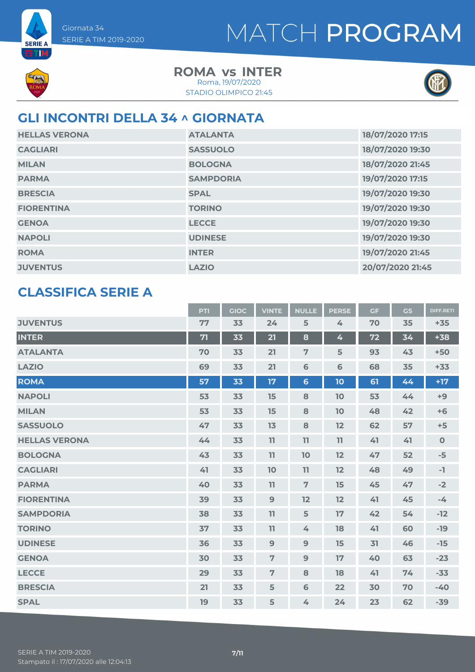

**SERIE A ETM** 

> **ROMA INTER vs** STADIO OLIMPICO 21:45 Roma, 19/07/2020



#### **GLI INCONTRI DELLA 34 ^ GIORNATA**

| <b>HELLAS VERONA</b> | <b>ATALANTA</b>  | 18/07/2020 17:15 |
|----------------------|------------------|------------------|
| <b>CAGLIARI</b>      | <b>SASSUOLO</b>  | 18/07/2020 19:30 |
| <b>MILAN</b>         | <b>BOLOGNA</b>   | 18/07/2020 21:45 |
| <b>PARMA</b>         | <b>SAMPDORIA</b> | 19/07/2020 17:15 |
| <b>BRESCIA</b>       | <b>SPAL</b>      | 19/07/2020 19:30 |
| <b>FIORENTINA</b>    | <b>TORINO</b>    | 19/07/2020 19:30 |
| <b>GENOA</b>         | <b>LECCE</b>     | 19/07/2020 19:30 |
| <b>NAPOLI</b>        | <b>UDINESE</b>   | 19/07/2020 19:30 |
| <b>ROMA</b>          | <b>INTER</b>     | 19/07/2020 21:45 |
| <b>JUVENTUS</b>      | <b>LAZIO</b>     | 20/07/2020 21:45 |

#### **CLASSIFICA SERIE A**

|                      | PTI | <b>GIOC</b> | <b>VINTE</b>   | <b>NULLE</b>   | <b>PERSE</b> | <b>GF</b> | GS | <b>DIFF.RETI</b> |
|----------------------|-----|-------------|----------------|----------------|--------------|-----------|----|------------------|
| <b>JUVENTUS</b>      | 77  | 33          | 24             | 5              | 4            | 70        | 35 | $+35$            |
| <b>INTER</b>         | 71  | 33          | 21             | 8              | 4            | 72        | 34 | $+38$            |
| <b>ATALANTA</b>      | 70  | 33          | 21             | $\overline{7}$ | 5            | 93        | 43 | $+50$            |
| <b>LAZIO</b>         | 69  | 33          | 21             | 6              | 6            | 68        | 35 | $+33$            |
| <b>ROMA</b>          | 57  | 33          | 17             | $6\phantom{a}$ | 10           | 61        | 44 | $+17$            |
| <b>NAPOLI</b>        | 53  | 33          | 15             | 8              | 10           | 53        | 44 | $+9$             |
| <b>MILAN</b>         | 53  | 33          | 15             | 8              | 10           | 48        | 42 | $+6$             |
| <b>SASSUOLO</b>      | 47  | 33          | 13             | 8              | 12           | 62        | 57 | $+5$             |
| <b>HELLAS VERONA</b> | 44  | 33          | 11             | 11             | 11           | 41        | 41 | $\mathbf 0$      |
| <b>BOLOGNA</b>       | 43  | 33          | 11             | 10             | 12           | 47        | 52 | $-5$             |
| <b>CAGLIARI</b>      | 41  | 33          | 10             | 11             | 12           | 48        | 49 | $-1$             |
| <b>PARMA</b>         | 40  | 33          | 11             | $\overline{7}$ | 15           | 45        | 47 | $-2$             |
| <b>FIORENTINA</b>    | 39  | 33          | $\overline{9}$ | 12             | 12           | 41        | 45 | $-4$             |
| <b>SAMPDORIA</b>     | 38  | 33          | 11             | 5              | 17           | 42        | 54 | $-12$            |
| <b>TORINO</b>        | 37  | 33          | 11             | 4              | 18           | 41        | 60 | $-19$            |
| <b>UDINESE</b>       | 36  | 33          | 9              | $\mathbf{9}$   | 15           | 31        | 46 | $-15$            |
| <b>GENOA</b>         | 30  | 33          | $\overline{7}$ | 9              | 17           | 40        | 63 | $-23$            |
| <b>LECCE</b>         | 29  | 33          | $\overline{7}$ | 8              | 18           | 41        | 74 | $-33$            |
| <b>BRESCIA</b>       | 21  | 33          | 5              | 6              | 22           | 30        | 70 | $-40$            |
| <b>SPAL</b>          | 19  | 33          | 5              | 4              | 24           | 23        | 62 | $-39$            |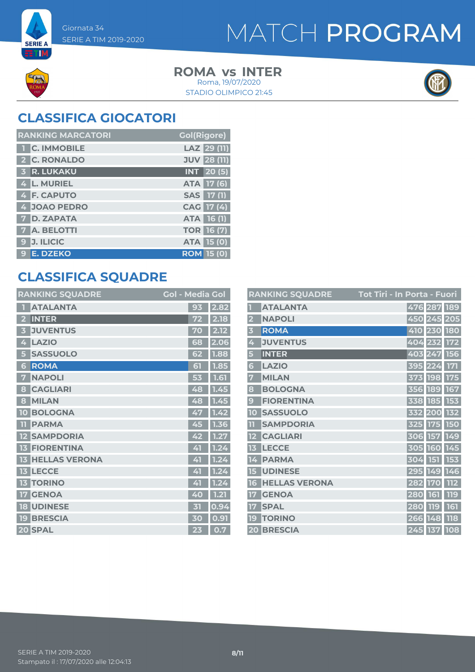

**SERIE A** ETM

> **ROMA INTER vs** STADIO OLIMPICO 21:45 Roma, 19/07/2020



### **CLASSIFICA GIOCATORI**

| <b>RANKING MARCATORI</b> | <b>Gol(Rigore)</b> |
|--------------------------|--------------------|
| <b>T C. IMMOBILE</b>     | LAZ 29 (11)        |
| 2 C. RONALDO             | <b>JUV 28 (11)</b> |
| <b>3 R. LUKAKU</b>       | <b>INT</b> 20(5)   |
| 4 L. MURIEL              | ATA 17 (6)         |
| 4 F. CAPUTO              | SAS 17 (1)         |
| 4 JOAO PEDRO             | CAG 17 (4)         |
| <b>7 D. ZAPATA</b>       | <b>ATA 16 (1)</b>  |
| <b>7</b> A. BELOTTI      | <b>TOR 16 (7)</b>  |
| <b>J. ILICIC</b><br>9    | ATA 15 (0)         |
| <b>E. DZEKO</b><br>9     | <b>ROM 15 (0)</b>  |

### **CLASSIFICA SQUADRE**

| <b>RANKING SQUADRE</b>     | <b>Gol - Media Gol</b> |      |
|----------------------------|------------------------|------|
| <b>ATALANTA</b>            | 93                     | 2.82 |
| <b>INTER</b><br>2          | 72                     | 2.18 |
| <b>JUVENTUS</b><br>3       | 70                     | 2.12 |
| <b>LAZIO</b><br>4          | 68                     | 2.06 |
| <b>SASSUOLO</b><br>5       | 62                     | 1.88 |
| <b>ROMA</b><br>6           | 61                     | 1.85 |
| <b>NAPOLI</b><br>7         | 53                     | 1.61 |
| <b>CAGLIARI</b><br>8       | 48                     | 1.45 |
| <b>MILAN</b><br>8          | 48                     | 1.45 |
| <b>BOLOGNA</b><br>10       | 47                     | 1.42 |
| <b>PARMA</b><br>n          | 45                     | 1.36 |
| <b>SAMPDORIA</b><br>12     | 42                     | 1.27 |
| <b>FIORENTINA</b><br>13    | 41                     | 1.24 |
| <b>HELLAS VERONA</b><br>13 | 41                     | 1.24 |
| <b>LECCE</b><br>13         | 41                     | 1.24 |
| <b>TORINO</b><br>13        | 41                     | 1.24 |
| <b>GENOA</b><br>17         | 40                     | 1.21 |
| <b>UDINESE</b><br>18       | 内                      | 0.94 |
| <b>BRESCIA</b><br>19       | 30                     | 0.91 |
| 20 SPAL                    | 23                     | 0.7  |

|                         | <b>RANKING SQUADRE</b> | Tot Tiri - In Porta - Fuori |             |            |
|-------------------------|------------------------|-----------------------------|-------------|------------|
|                         | <b>ATALANTA</b>        | 476 287 189                 |             |            |
| $\overline{\mathbf{2}}$ | <b>NAPOLI</b>          |                             | 450 245 205 |            |
| $\overline{\mathbf{3}}$ | <b>ROMA</b>            |                             | 410 230 180 |            |
| 4                       | <b>JUVENTUS</b>        | 404 232 172                 |             |            |
| 5                       | <b>INTER</b>           |                             | 403 247 156 |            |
| 6                       | <b>LAZIO</b>           | 395 224                     |             | <b>171</b> |
| 7                       | <b>MILAN</b>           |                             | 373 198     | <b>175</b> |
| 8                       | <b>BOLOGNA</b>         |                             | 356 189 167 |            |
| 9                       | <b>FIORENTINA</b>      | 338                         | 185         | 153        |
| 10                      | <b>SASSUOLO</b>        | 332 200                     |             | <b>132</b> |
|                         | <b>SAMPDORIA</b>       | 325                         | 175         | 150        |
| 12                      | <b>CAGLIARI</b>        | 306                         | 157         | 149        |
| 13                      | <b>LECCE</b>           | 305 160 145                 |             |            |
| 14                      | <b>PARMA</b>           | 304                         | 151 153     |            |
| 15                      | <b>UDINESE</b>         |                             | 295 149 146 |            |
| 16                      | <b>HELLAS VERONA</b>   | 282                         | <b>170</b>  | 112        |
| 17                      | <b>GENOA</b>           | 280                         | 161         | 119        |
| $\P$ 7                  | <b>SPAL</b>            | 280                         | <b>119</b>  | 161        |
| 19                      | <b>TORINO</b>          | 266                         | 148         | <b>118</b> |
|                         | 20 BRESCIA             |                             | 245 137 108 |            |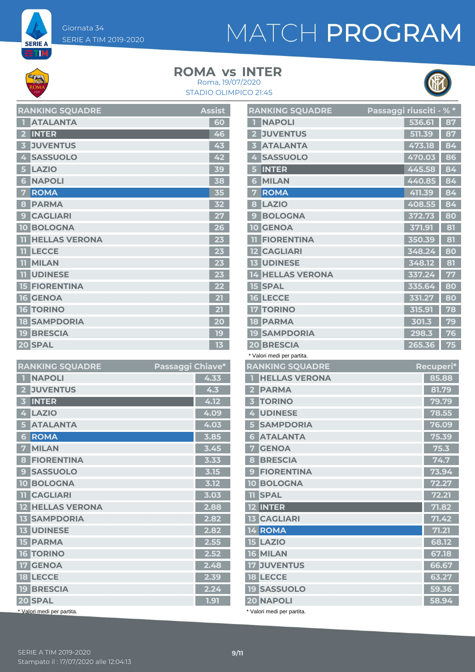**SERIE A ETIM** 

### **ROMA INTER vs**





| <b>RANKING SQUADRE</b>  | <b>Assist</b>           |
|-------------------------|-------------------------|
| <b>ATALANTA</b>         | 60                      |
| <b>INTER</b>            | 46                      |
| <b>JUVENTUS</b>         | 43                      |
| <b>SASSUOLO</b><br>4    | 42                      |
| <b>LAZIO</b><br>5       | 39                      |
| <b>NAPOLI</b><br>6      | 38                      |
| <b>ROMA</b>             | 35                      |
| <b>PARMA</b><br>8       | 32                      |
| <b>CAGLIARI</b><br>9    |                         |
| <b>BOLOGNA</b><br>10    | 26                      |
| <b>HELLAS VERONA</b>    | 23                      |
| <b>LECCE</b><br>11      | 23                      |
| <b>MILAN</b><br>11      | 23                      |
| <b>UDINESE</b><br>11    | 23                      |
| <b>FIORENTINA</b><br>15 | 22                      |
| <b>GENOA</b><br>16      |                         |
| <b>TORINO</b><br>16     | $\overline{\mathbf{2}}$ |
| <b>18 SAMPDORIA</b>     | 20                      |
| <b>19 BRESCIA</b>       | 19                      |
| 20 SPAL                 | 13                      |

| <b>RANKING SQUADRE</b>            | Passaggi Chiave* |      |
|-----------------------------------|------------------|------|
| <b>NAPOLI</b><br>П                |                  | 4.33 |
| <b>JUVENTUS</b>                   |                  | 4.3  |
| <b>INTER</b><br>3                 |                  | 4.12 |
| <b>LAZIO</b><br>4                 |                  | 4.09 |
| <b>ATALANTA</b><br>5              |                  | 4.03 |
| <b>ROMA</b><br>6                  |                  | 3.85 |
| <b>MILAN</b><br>7                 |                  | 3.45 |
| <b>FIORENTINA</b><br>8            |                  | 3.33 |
| <b>SASSUOLO</b><br>9              |                  | 3.15 |
| <b>BOLOGNA</b><br>10 <sup>°</sup> |                  | 3.12 |
| <b>TI</b> CAGLIARI                |                  | 3.03 |
| <b>12 HELLAS VERONA</b>           |                  | 2.88 |
| <b>SAMPDORIA</b><br>13            |                  | 2.82 |
| <b>13 UDINESE</b>                 |                  | 2.82 |
| <b>15 PARMA</b>                   |                  | 2.55 |
| <b>16 TORINO</b>                  |                  | 2.52 |
| <b>17 GENOA</b>                   |                  | 2.48 |
| <b>18 LECCE</b>                   |                  | 2.39 |
| <b>19 BRESCIA</b>                 |                  | 2.24 |
| 20 SPAL                           |                  | 1.91 |
| * Valori medi per partita.        |                  |      |

|                | <b>RANKING SQUADRE</b>          | Passaggi riusciti - %* |        |                  |
|----------------|---------------------------------|------------------------|--------|------------------|
| П              | <b>NAPOLI</b>                   |                        | 536.61 | 87               |
| $\mathbf{2}$   | <b>JUVENTUS</b>                 |                        | 511.39 | 87               |
| 3              | <b>ATALANTA</b>                 |                        | 473.18 | 84               |
| 4              | <b>SASSUOLO</b>                 |                        | 470.03 | 86               |
| 5              | <b>INTER</b>                    |                        | 445.58 | 84               |
| 6              | <b>MILAN</b>                    |                        | 440.85 | 84               |
| 7              | <b>ROMA</b>                     |                        | 411.39 | 84               |
| 8              | <b>LAZIO</b>                    |                        | 408.55 | 84               |
| 9              | <b>BOLOGNA</b>                  |                        | 372.73 | 80               |
| 10 I           | <b>GENOA</b>                    |                        | 371.91 | 81               |
|                | <b>FIORENTINA</b>               |                        | 350.39 | 81               |
| <u>12 I</u>    | <b>CAGLIARI</b>                 |                        | 348.24 | 80               |
|                | <b>13 UDINESE</b>               |                        | 348.12 | 81               |
|                | <b>14 HELLAS VERONA</b>         |                        | 337.24 | 77               |
|                | <b>15 SPAL</b>                  |                        | 335.64 | 80               |
|                | <b>16 LECCE</b>                 |                        | 331.27 | 80               |
|                | <b>17 TORINO</b>                |                        | 315.91 | 78               |
|                | <b>18 PARMA</b>                 |                        | 301.3  | 79               |
|                | <b>19 SAMPDORIA</b>             |                        | 298.3  | 76               |
|                | <b>20 BRESCIA</b>               |                        | 265.36 | 75               |
|                | * Valori medi per partita.      |                        |        |                  |
|                |                                 |                        |        |                  |
|                | <b>RANKING SQUADRE</b>          |                        |        | <b>Recuperi*</b> |
| ٠              | <b>HELLAS VERONA</b>            |                        |        | 85.88            |
| $\mathbf{2}$   | <b>PARMA</b>                    |                        |        | 81.79            |
|                | <b>3 TORINO</b>                 |                        |        | 79.79            |
| $\overline{4}$ | <b>UDINESE</b>                  |                        |        | 78.55            |
| 5              | <b>SAMPDORIA</b>                |                        |        | 76.09            |
| 6 <sup>1</sup> | <b>ATALANTA</b>                 |                        |        | 75.39            |
|                | <b>7 GENOA</b>                  |                        |        | 75.3             |
|                | 8 BRESCIA                       |                        |        | 74.7             |
|                | 9 FIORENTINA                    |                        |        | 73.94            |
|                | <b>10 BOLOGNA</b>               |                        |        | 72.27            |
|                | <b>II SPAL</b>                  |                        |        | 72.21            |
|                | 12 INTER                        |                        |        | 71.82            |
|                | <b>13 CAGLIARI</b>              |                        |        | 71.42            |
|                | 14 ROMA                         |                        |        | 71.21            |
|                | <b>15 LAZIO</b>                 |                        |        | 68.12            |
|                | 16 MILAN                        |                        |        | 67.18            |
|                | <b>17 JUVENTUS</b>              |                        |        | 66.67            |
|                | <b>18 LECCE</b>                 |                        |        | 63.27            |
|                | <b>19 SASSUOLO</b><br>20 NAPOLI |                        |        | 59.36<br>58.94   |

\* Valori medi per partita.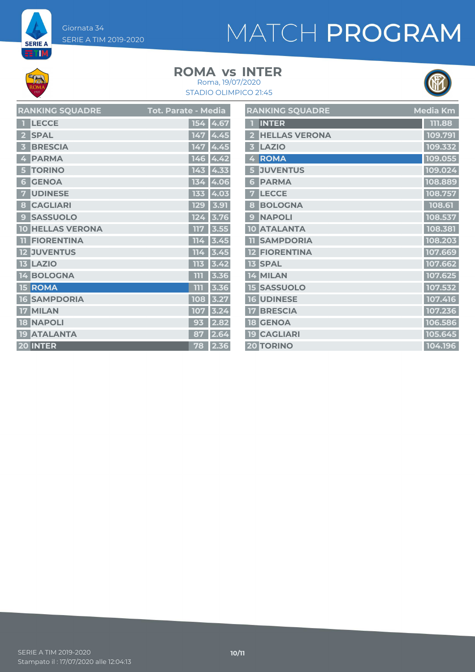Giornata 34 SERIE A TIM 2019-2020

# MATCH PROGRAM

**SERIE A ET M** 

#### **ROMA INTER vs** Roma, 19/07/2020

#### STADIO OLIMPICO 21:45



| <b>RANKING SQUADRE</b>  | <b>Tot. Parate - Media</b> | <b>RANKING SQUADRE</b> | Media Km |
|-------------------------|----------------------------|------------------------|----------|
| <b>TECCE</b>            | 154 4.67                   | <b>INTER</b>           | 111.88   |
| 2 SPAL                  | 147 4.45                   | 2 HELLAS VERONA        | 109.791  |
| <b>3 BRESCIA</b>        | 147 4.45                   | 3 LAZIO                | 109.332  |
| 4 PARMA                 | $146 \,   4.\overline{42}$ | 4 ROMA                 | 109.055  |
| 5 TORINO                | $143$ 4.33                 | 5 JUVENTUS             | 109.024  |
| 6 GENOA                 | 134 4.06                   | <b>6 PARMA</b>         | 108.889  |
| <b>7 UDINESE</b>        | 133 4.03                   | 7 LECCE                | 108.757  |
| 8 CAGLIARI              | 129 3.91                   | 8 BOLOGNA              | 108.61   |
| <b>9 SASSUOLO</b>       | $124$ 3.76                 | 9 NAPOLI               | 108.537  |
| <b>10 HELLAS VERONA</b> | $117$ 3.55                 | <b>10 ATALANTA</b>     | 108.381  |
| <b>TI FIORENTINA</b>    | $114$ 3.45                 | <b>TI SAMPDORIA</b>    | 108.203  |
| <b>12 JUVENTUS</b>      | $114$ 3.45                 | <b>12 FIORENTINA</b>   | 107.669  |
| <b>13 LAZIO</b>         | $113$ 3.42                 | <b>13 SPAL</b>         | 107.662  |
| 14 BOLOGNA              | 3.36                       | 14 MILAN               | 107.625  |
| 15 ROMA                 | $111$ 3.36                 | <b>15 SASSUOLO</b>     | 107.532  |
| <b>16 SAMPDORIA</b>     | 108 3.27                   | <b>16 UDINESE</b>      | 107.416  |
| 17 MILAN                | 107 3.24                   | <b>17 BRESCIA</b>      | 107.236  |
| <b>18 NAPOLI</b>        | $93$ 2.82                  | <b>18 GENOA</b>        | 106.586  |
| 19 ATALANTA             | 87 2.64                    | <b>19 CAGLIARI</b>     | 105.645  |
| 20 INTER                | 78 2.36                    | 20 TORINO              | 104.196  |